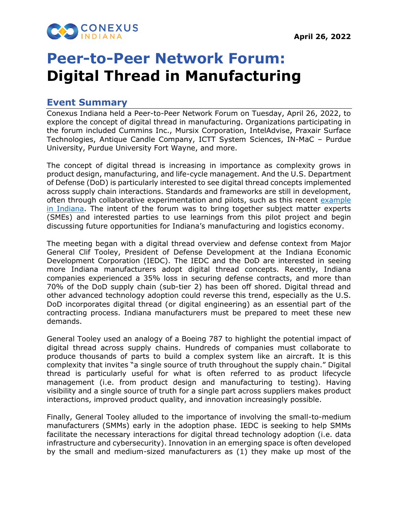

## **Peer-to-Peer Network Forum: Digital Thread in Manufacturing**

## **Event Summary**

Conexus Indiana held a Peer-to-Peer Network Forum on Tuesday, April 26, 2022, to explore the concept of digital thread in manufacturing. Organizations participating in the forum included Cummins Inc., Mursix Corporation, IntelAdvise, Praxair Surface Technologies, Antique Candle Company, ICTT System Sciences, IN-MaC – Purdue University, Purdue University Fort Wayne, and more.

The concept of digital thread is increasing in importance as complexity grows in product design, manufacturing, and life-cycle management. And the U.S. Department of Defense (DoD) is particularly interested to see digital thread concepts implemented across supply chain interactions. Standards and frameworks are still in development, often through collaborative experimentation and pilots, such as this recent [example](https://www.mursix.com/blog/digital-thread-pilot-project-presents-roadmap-for-strengthening-domestic-supply-chain) in Indiana. The intent of the forum was to bring together subject matter experts (SMEs) and interested parties to use learnings from this pilot project and begin discussing future opportunities for Indiana's manufacturing and logistics economy.

The meeting began with a digital thread overview and defense context from Major General Clif Tooley, President of Defense Development at the Indiana Economic Development Corporation (IEDC). The IEDC and the DoD are interested in seeing more Indiana manufacturers adopt digital thread concepts. Recently, Indiana companies experienced a 35% loss in securing defense contracts, and more than 70% of the DoD supply chain (sub-tier 2) has been off shored. Digital thread and other advanced technology adoption could reverse this trend, especially as the U.S. DoD incorporates digital thread (or digital engineering) as an essential part of the contracting process. Indiana manufacturers must be prepared to meet these new demands.

General Tooley used an analogy of a Boeing 787 to highlight the potential impact of digital thread across supply chains. Hundreds of companies must collaborate to produce thousands of parts to build a complex system like an aircraft. It is this complexity that invites "a single source of truth throughout the supply chain." Digital thread is particularly useful for what is often referred to as product lifecycle management (i.e. from product design and manufacturing to testing). Having visibility and a single source of truth for a single part across suppliers makes product interactions, improved product quality, and innovation increasingly possible.

Finally, General Tooley alluded to the importance of involving the small-to-medium manufacturers (SMMs) early in the adoption phase. IEDC is seeking to help SMMs facilitate the necessary interactions for digital thread technology adoption (i.e. data infrastructure and cybersecurity). Innovation in an emerging space is often developed by the small and medium-sized manufacturers as (1) they make up most of the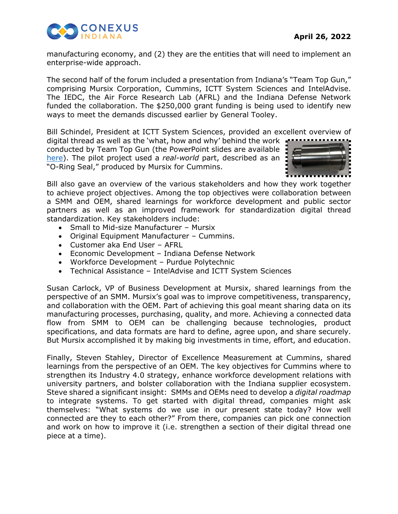

manufacturing economy, and (2) they are the entities that will need to implement an enterprise-wide approach.

The second half of the forum included a presentation from Indiana's "Team Top Gun," comprising Mursix Corporation, Cummins, ICTT System Sciences and IntelAdvise. The IEDC, the Air Force Research Lab (AFRL) and the Indiana Defense Network funded the collaboration. The \$250,000 grant funding is being used to identify new ways to meet the demands discussed earlier by General Tooley.

Bill Schindel, President at ICTT System Sciences, provided an excellent overview of

digital thread as well as the 'what, how and why' behind the work conducted by Team Top Gun (the PowerPoint slides are available [here\)](https://cicpindiana.box.com/s/47a8oqs5fl5d1ehtqjo2b7k648v5pj2a). The pilot project used a *real-world* part, described as an "O-Ring Seal," produced by Mursix for Cummins.



Bill also gave an overview of the various stakeholders and how they work together to achieve project objectives. Among the top objectives were collaboration between a SMM and OEM, shared learnings for workforce development and public sector partners as well as an improved framework for standardization digital thread standardization. Key stakeholders include:

- Small to Mid-size Manufacturer Mursix
- Original Equipment Manufacturer Cummins.
- Customer aka End User AFRL
- Economic Development Indiana Defense Network
- Workforce Development Purdue Polytechnic
- Technical Assistance IntelAdvise and ICTT System Sciences

Susan Carlock, VP of Business Development at Mursix, shared learnings from the perspective of an SMM. Mursix's goal was to improve competitiveness, transparency, and collaboration with the OEM. Part of achieving this goal meant sharing data on its manufacturing processes, purchasing, quality, and more. Achieving a connected data flow from SMM to OEM can be challenging because technologies, product specifications, and data formats are hard to define, agree upon, and share securely. But Mursix accomplished it by making big investments in time, effort, and education.

Finally, Steven Stahley, Director of Excellence Measurement at Cummins, shared learnings from the perspective of an OEM. The key objectives for Cummins where to strengthen its Industry 4.0 strategy, enhance workforce development relations with university partners, and bolster collaboration with the Indiana supplier ecosystem. Steve shared a significant insight: SMMs and OEMs need to develop a *digital roadmap* to integrate systems. To get started with digital thread, companies might ask themselves: "What systems do we use in our present state today? How well connected are they to each other?" From there, companies can pick one connection and work on how to improve it (i.e. strengthen a section of their digital thread one piece at a time).